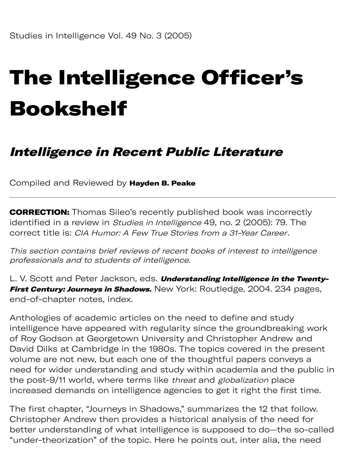## The Intelligence Officer's Bookshelf

## Intelligence in Recent Public Literature

Compiled and Reviewed by Hayden B. Peake

**CORRECTION:** Thomas Sileo's recently published book was incorrectly identified in a review in *Studies in Intelligence* 49, no. 2 (2005): 79. The correct title is: CIA Humor: A Few True Stories from a 31-Year Career.

This section contains brief reviews of recent books of interest to intelligence professionals and to students of intelligence.

L. V. Scott and Peter Jackson, eds. Understanding Intelligence in the Twenty-First Century: Journeys in Shadows. New York: Routledge, 2004. 234 pages, end-of-chapter notes, index.

Anthologies of academic articles on the need to define and study intelligence have appeared with regularity since the groundbreaking work of Roy Godson at Georgetown University and Christopher Andrew and David Dilks at Cambridge in the 1980s. The topics covered in the present volume are not new, but each one of the thoughtful papers conveys a need for wider understanding and study within academia and the public in the post-9/11 world, where terms like threat and globalization place increased demands on intelligence agencies to get it right the first time.

The first chapter, "Journeys in Shadows," summarizes the 12 that follow. Christopher Andrew then provides a historical analysis of the need for better understanding of what intelligence is supposed to do—the so-called "under-theorization" of the topic. Here he points out, inter alia, the need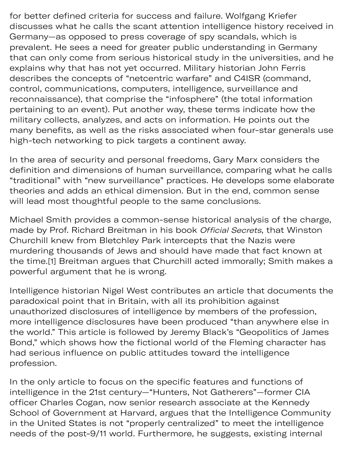for better defined criteria for success and failure. Wolfgang Kriefer discusses what he calls the scant attention intelligence history received in Germany—as opposed to press coverage of spy scandals, which is prevalent. He sees a need for greater public understanding in Germany that can only come from serious historical study in the universities, and he explains why that has not yet occurred. Military historian John Ferris describes the concepts of "netcentric warfare" and C4ISR (command, control, communications, computers, intelligence, surveillance and reconnaissance), that comprise the "infosphere" (the total information pertaining to an event). Put another way, these terms indicate how the military collects, analyzes, and acts on information. He points out the many benefits, as well as the risks associated when four-star generals use high-tech networking to pick targets a continent away.

In the area of security and personal freedoms, Gary Marx considers the definition and dimensions of human surveillance, comparing what he calls "traditional" with "new surveillance" practices. He develops some elaborate theories and adds an ethical dimension. But in the end, common sense will lead most thoughtful people to the same conclusions.

Michael Smith provides a common-sense historical analysis of the charge, made by Prof. Richard Breitman in his book Official Secrets, that Winston Churchill knew from Bletchley Park intercepts that the Nazis were murdering thousands of Jews and should have made that fact known at the time.[1] Breitman argues that Churchill acted immorally; Smith makes a powerful argument that he is wrong.

Intelligence historian Nigel West contributes an article that documents the paradoxical point that in Britain, with all its prohibition against unauthorized disclosures of intelligence by members of the profession, more intelligence disclosures have been produced "than anywhere else in the world." This article is followed by Jeremy Black's "Geopolitics of James Bond," which shows how the fictional world of the Fleming character has had serious influence on public attitudes toward the intelligence profession.

In the only article to focus on the specific features and functions of intelligence in the 21st century—"Hunters, Not Gatherers"—former CIA officer Charles Cogan, now senior research associate at the Kennedy School of Government at Harvard, argues that the Intelligence Community in the United States is not "properly centralized" to meet the intelligence needs of the post-9/11 world. Furthermore, he suggests, existing internal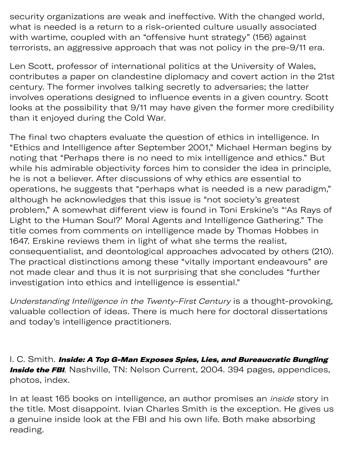needs of the post-9/11 world. Furthermore, he sugests, existing internal security organizations are weak and ineffective. With the changed world, what is needed is a return to a risk-oriented culture usually associated with wartime, coupled with an "offensive hunt strategy" (156) against terrorists, an aggressive approach that was not policy in the pre-9/11 era.

Len Scott, professor of international politics at the University of Wales, contributes a paper on clandestine diplomacy and covert action in the 21st century. The former involves talking secretly to adversaries; the latter involves operations designed to influence events in a given country. Scott looks at the possibility that 9/11 may have given the former more credibility than it enjoyed during the Cold War.

The final two chapters evaluate the question of ethics in intelligence. In "Ethics and Intelligence after September 2001," Michael Herman begins by noting that "Perhaps there is no need to mix intelligence and ethics." But while his admirable objectivity forces him to consider the idea in principle, he is not a believer. After discussions of why ethics are essential to operations, he suggests that "perhaps what is needed is a new paradigm," although he acknowledges that this issue is "not society's greatest problem," A somewhat different view is found in Toni Erskine's "'As Rays of Light to the Human Soul?' Moral Agents and Intelligence Gathering." The title comes from comments on intelligence made by Thomas Hobbes in 1647. Erskine reviews them in light of what she terms the realist, consequentialist, and deontological approaches advocated by others (210). The practical distinctions among these "vitally important endeavours" are not made clear and thus it is not surprising that she concludes "further investigation into ethics and intelligence is essential."

Understanding Intelligence in the Twenty-First Century is a thought-provoking, valuable collection of ideas. There is much here for doctoral dissertations and today's intelligence practitioners.

I. C. Smith. Inside: A Top G-Man Exposes Spies, Lies, and Bureaucratic Bungling **Inside the FBI**. Nashville, TN: Nelson Current, 2004. 394 pages, appendices, photos, index.

In at least 165 books on intelligence, an author promises an *inside* story in the title. Most disappoint. Ivian Charles Smith is the exception. He gives us a genuine inside look at the FBI and his own life. Both make absorbing reading.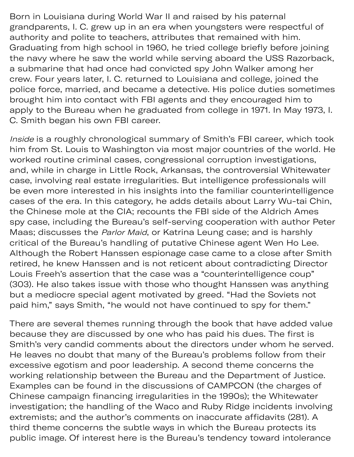Born in Louisiana during World War II and raised by his paternal grandparents, I. C. grew up in an era when youngsters were respectful of authority and polite to teachers, attributes that remained with him. Graduating from high school in 1960, he tried college briefly before joining the navy where he saw the world while serving aboard the USS Razorback, a submarine that had once had convicted spy John Walker among her crew. Four years later, I. C. returned to Louisiana and college, joined the police force, married, and became a detective. His police duties sometimes brought him into contact with FBI agents and they encouraged him to apply to the Bureau when he graduated from college in 1971. In May 1973, I. C. Smith began his own FBI career.

Inside is a roughly chronological summary of Smith's FBI career, which took him from St. Louis to Washington via most major countries of the world. He worked routine criminal cases, congressional corruption investigations, and, while in charge in Little Rock, Arkansas, the controversial Whitewater case, involving real estate irregularities. But intelligence professionals will be even more interested in his insights into the familiar counterintelligence cases of the era. In this category, he adds details about Larry Wu-tai Chin, the Chinese mole at the CIA; recounts the FBI side of the Aldrich Ames spy case, including the Bureau's self-serving cooperation with author Peter Maas; discusses the Parlor Maid, or Katrina Leung case; and is harshly critical of the Bureau's handling of putative Chinese agent Wen Ho Lee. Although the Robert Hanssen espionage case came to a close after Smith retired, he knew Hanssen and is not reticent about contradicting Director Louis Freeh's assertion that the case was a "counterintelligence coup" (303). He also takes issue with those who thought Hanssen was anything but a mediocre special agent motivated by greed. "Had the Soviets not paid him," says Smith, "he would not have continued to spy for them."

There are several themes running through the book that have added value because they are discussed by one who has paid his dues. The first is Smith's very candid comments about the directors under whom he served. He leaves no doubt that many of the Bureau's problems follow from their excessive egotism and poor leadership. A second theme concerns the working relationship between the Bureau and the Department of Justice. Examples can be found in the discussions of CAMPCON (the charges of Chinese campaign financing irregularities in the 1990s); the Whitewater investigation; the handling of the Waco and Ruby Ridge incidents involving extremists; and the author's comments on inaccurate affidavits (281). A third theme concerns the subtle ways in which the Bureau protects its public image. Of interest here is the Bureau's tendency toward intolerance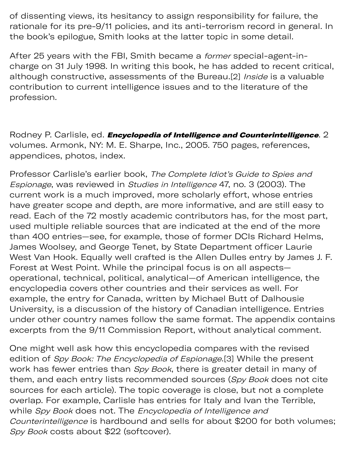of dissenting views, its hesitancy to assign responsibility for failure, the rationale for its pre-9/11 policies, and its anti-terrorism record in general. In the book's epilogue, Smith looks at the latter topic in some detail.

After 25 years with the FBI, Smith became a *former* special-agent-incharge on 31 July 1998. In writing this book, he has added to recent critical, although constructive, assessments of the Bureau.[2] Inside is a valuable contribution to current intelligence issues and to the literature of the profession.

Rodney P. Carlisle, ed. *Encyclopedia of Intelligence and Counterintelligence*. 2 volumes. Armonk, NY: M. E. Sharpe, Inc., 2005. 750 pages, references, appendices, photos, index.

Professor Carlisle's earlier book, The Complete Idiot's Guide to Spies and Espionage, was reviewed in Studies in Intelligence 47, no. 3 (2003). The current work is a much improved, more scholarly effort, whose entries have greater scope and depth, are more informative, and are still easy to read. Each of the 72 mostly academic contributors has, for the most part, used multiple reliable sources that are indicated at the end of the more than 400 entries—see, for example, those of former DCIs Richard Helms, James Woolsey, and George Tenet, by State Department officer Laurie West Van Hook. Equally well crafted is the Allen Dulles entry by James J. F. Forest at West Point. While the principal focus is on all aspects operational, technical, political, analytical—of American intelligence, the encyclopedia covers other countries and their services as well. For example, the entry for Canada, written by Michael Butt of Dalhousie University, is a discussion of the history of Canadian intelligence. Entries under other country names follow the same format. The appendix contains excerpts from the 9/11 Commission Report, without analytical comment.

One might well ask how this encyclopedia compares with the revised edition of Spy Book: The Encyclopedia of Espionage.[3] While the present work has fewer entries than Spy Book, there is greater detail in many of them, and each entry lists recommended sources (Spy Book does not cite sources for each article). The topic coverage is close, but not a complete overlap. For example, Carlisle has entries for Italy and Ivan the Terrible, while Spy Book does not. The Encyclopedia of Intelligence and Counterintelligence is hardbound and sells for about \$200 for both volumes; Spy Book costs about \$22 (softcover).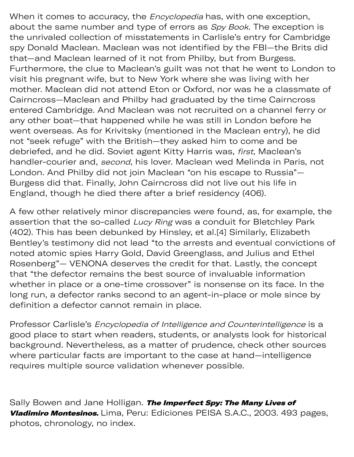When it comes to accuracy, the *Encyclopedia* has, with one exception, about the same number and type of errors as Spy Book. The exception is the unrivaled collection of misstatements in Carlisle's entry for Cambridge spy Donald Maclean. Maclean was not identified by the FBI—the Brits did that—and Maclean learned of it not from Philby, but from Burgess. Furthermore, the clue to Maclean's guilt was not that he went to London to visit his pregnant wife, but to New York where she was living with her mother. Maclean did not attend Eton or Oxford, nor was he a classmate of Cairncross—Maclean and Philby had graduated by the time Cairncross entered Cambridge. And Maclean was not recruited on a channel ferry or any other boat—that happened while he was still in London before he went overseas. As for Krivitsky (mentioned in the Maclean entry), he did not "seek refuge" with the British—they asked him to come and be debriefed, and he did. Soviet agent Kitty Harris was, first, Maclean's handler-courier and, second, his lover. Maclean wed Melinda in Paris, not London. And Philby did not join Maclean "on his escape to Russia"— Burgess did that. Finally, John Cairncross did not live out his life in England, though he died there after a brief residency (406).

A few other relatively minor discrepancies were found, as, for example, the assertion that the so-called Lucy Ring was a conduit for Bletchley Park (402). This has been debunked by Hinsley, et al.[4] Similarly, Elizabeth Bentley's testimony did not lead "to the arrests and eventual convictions of noted atomic spies Harry Gold, David Greenglass, and Julius and Ethel Rosenberg"— VENONA deserves the credit for that. Lastly, the concept that "the defector remains the best source of invaluable information whether in place or a one-time crossover" is nonsense on its face. In the long run, a defector ranks second to an agent-in-place or mole since by definition a defector cannot remain in place.

Professor Carlisle's Encyclopedia of Intelligence and Counterintelligence is a good place to start when readers, students, or analysts look for historical background. Nevertheless, as a matter of prudence, check other sources where particular facts are important to the case at hand—intelligence requires multiple source validation whenever possible.

Sally Bowen and Jane Holligan. The Imperfect Spy: The Many Lives of Vladimiro Montesinos. Lima, Peru: Ediciones PEISA S.A.C., 2003. 493 pages, photos, chronology, no index.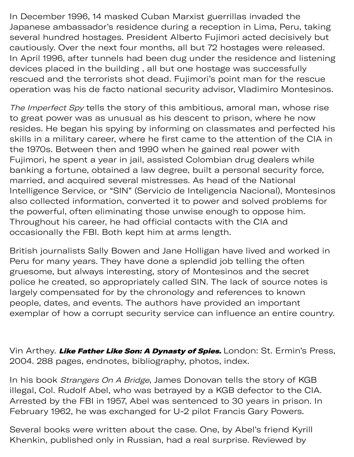In December 1996, 14 masked Cuban Marxist guerrillas invaded the Japanese ambassador's residence during a reception in Lima, Peru, taking several hundred hostages. President Alberto Fujimori acted decisively but cautiously. Over the next four months, all but 72 hostages were released. In April 1996, after tunnels had been dug under the residence and listening devices placed in the building , all but one hostage was successfully rescued and the terrorists shot dead. Fujimori's point man for the rescue operation was his de facto national security advisor, Vladimiro Montesinos.

The Imperfect Spy tells the story of this ambitious, amoral man, whose rise to great power was as unusual as his descent to prison, where he now resides. He began his spying by informing on classmates and perfected his skills in a military career, where he first came to the attention of the CIA in the 1970s. Between then and 1990 when he gained real power with Fujimori, he spent a year in jail, assisted Colombian drug dealers while banking a fortune, obtained a law degree, built a personal security force, married, and acquired several mistresses. As head of the National Intelligence Service, or "SIN" (Servicio de Inteligencia Nacional), Montesinos also collected information, converted it to power and solved problems for the powerful, often eliminating those unwise enough to oppose him. Throughout his career, he had official contacts with the CIA and occasionally the FBI. Both kept him at arms length.

British journalists Sally Bowen and Jane Holligan have lived and worked in Peru for many years. They have done a splendid job telling the often gruesome, but always interesting, story of Montesinos and the secret police he created, so appropriately called SIN. The lack of source notes is largely compensated for by the chronology and references to known people, dates, and events. The authors have provided an important exemplar of how a corrupt security service can influence an entire country.

Vin Arthey. Like Father Like Son: A Dynasty of Spies. London: St. Ermin's Press, 2004. 288 pages, endnotes, bibliography, photos, index.

In his book *Strangers On A Bridge*, James Donovan tells the story of KGB illegal, Col. Rudolf Abel, who was betrayed by a KGB defector to the CIA. Arrested by the FBI in 1957, Abel was sentenced to 30 years in prison. In February 1962, he was exchanged for U-2 pilot Francis Gary Powers.

Several books were written about the case. One, by Abel's friend Kyrill Khenkin, published only in Russian, had a real surprise. Reviewed by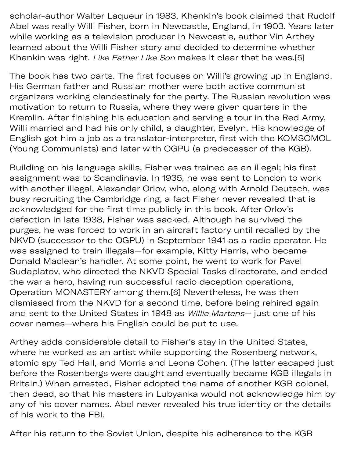scholar-author Walter Laqueur in 1983, Khenkin's book claimed that Rudolf Abel was really Willi Fisher, born in Newcastle, England, in 1903. Years later while working as a television producer in Newcastle, author Vin Arthey learned about the Willi Fisher story and decided to determine whether Khenkin was right. Like Father Like Son makes it clear that he was.[5]

The book has two parts. The first focuses on Willi's growing up in England. His German father and Russian mother were both active communist organizers working clandestinely for the party. The Russian revolution was motivation to return to Russia, where they were given quarters in the Kremlin. After finishing his education and serving a tour in the Red Army, Willi married and had his only child, a daughter, Evelyn. His knowledge of English got him a job as a translator-interpreter, first with the KOMSOMOL (Young Communists) and later with OGPU (a predecessor of the KGB).

Building on his language skills, Fisher was trained as an illegal; his first assignment was to Scandinavia. In 1935, he was sent to London to work with another illegal, Alexander Orlov, who, along with Arnold Deutsch, was busy recruiting the Cambridge ring, a fact Fisher never revealed that is acknowledged for the first time publicly in this book. After Orlov's defection in late 1938, Fisher was sacked. Although he survived the purges, he was forced to work in an aircraft factory until recalled by the NKVD (successor to the OGPU) in September 1941 as a radio operator. He was assigned to train illegals—for example, Kitty Harris, who became Donald Maclean's handler. At some point, he went to work for Pavel Sudaplatov, who directed the NKVD Special Tasks directorate, and ended the war a hero, having run successful radio deception operations, Operation MONASTERY among them.[6] Nevertheless, he was then dismissed from the NKVD for a second time, before being rehired again and sent to the United States in 1948 as Willie Martens— just one of his cover names—where his English could be put to use.

Arthey adds considerable detail to Fisher's stay in the United States, where he worked as an artist while supporting the Rosenberg network, atomic spy Ted Hall, and Morris and Leona Cohen. (The latter escaped just before the Rosenbergs were caught and eventually became KGB illegals in Britain.) When arrested, Fisher adopted the name of another KGB colonel, then dead, so that his masters in Lubyanka would not acknowledge him by any of his cover names. Abel never revealed his true identity or the details of his work to the FBI.

After his return to the Soviet Union, despite his adherence to the KGB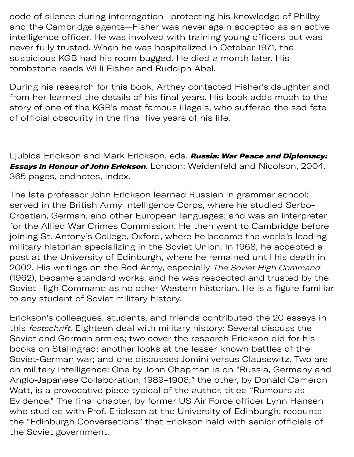code of silence during interrogation—protecting his knowledge of Philby and the Cambridge agents—Fisher was never again accepted as an active intelligence officer. He was involved with training young officers but was never fully trusted. When he was hospitalized in October 1971, the suspicious KGB had his room bugged. He died a month later. His tombstone reads Willi Fisher and Rudolph Abel.

 $A_{\rm eff}$  his return to the Soviet Union, despite his adherence to the  $S_{\rm eff}$ 

During his research for this book, Arthey contacted Fisher's daughter and from her learned the details of his final years. His book adds much to the story of one of the KGB's most famous illegals, who suffered the sad fate of official obscurity in the final five years of his life.

Ljubica Erickson and Mark Erickson, eds. **Russia: War Peace and Diplomacy: Essays in Honour of John Erickson**. London: Weidenfeld and Nicolson, 2004. 365 pages, endnotes, index.

The late professor John Erickson learned Russian in grammar school; served in the British Army Intelligence Corps, where he studied Serbo-Croatian, German, and other European languages; and was an interpreter for the Allied War Crimes Commission. He then went to Cambridge before joining St. Antony's College, Oxford, where he became the world's leading military historian specializing in the Soviet Union. In 1968, he accepted a post at the University of Edinburgh, where he remained until his death in 2002. His writings on the Red Army, especially The Soviet High Command (1962), became standard works, and he was respected and trusted by the Soviet High Command as no other Western historian. He is a figure familiar to any student of Soviet military history.

Erickson's colleagues, students, and friends contributed the 20 essays in this festschrift. Eighteen deal with military history: Several discuss the Soviet and German armies; two cover the research Erickson did for his books on Stalingrad; another looks at the lesser known battles of the Soviet-German war; and one discusses Jomini versus Clausewitz. Two are on military intelligence: One by John Chapman is on "Russia, Germany and Anglo-Japanese Collaboration, 1989–1906;" the other, by Donald Cameron Watt, is a provocative piece typical of the author, titled "Rumours as Evidence." The final chapter, by former US Air Force officer Lynn Hansen who studied with Prof. Erickson at the University of Edinburgh, recounts the "Edinburgh Conversations" that Erickson held with senior officials of the Soviet government.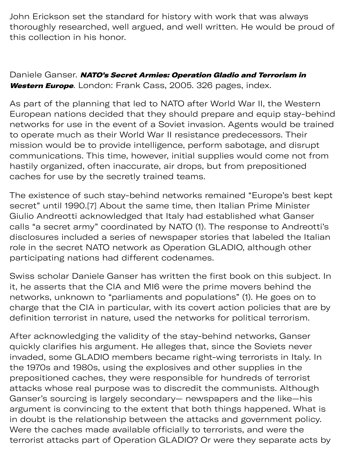John Erickson set the standard for history with work that was always thoroughly researched, well argued, and well written. He would be proud of this collection in his honor.

Daniele Ganser. NATO's Secret Armies: Operation Gladio and Terrorism in Western Europe. London: Frank Cass, 2005. 326 pages, index.

As part of the planning that led to NATO after World War II, the Western European nations decided that they should prepare and equip stay-behind networks for use in the event of a Soviet invasion. Agents would be trained to operate much as their World War II resistance predecessors. Their mission would be to provide intelligence, perform sabotage, and disrupt communications. This time, however, initial supplies would come not from hastily organized, often inaccurate, air drops, but from prepositioned caches for use by the secretly trained teams.

The existence of such stay-behind networks remained "Europe's best kept secret" until 1990.[7] About the same time, then Italian Prime Minister Giulio Andreotti acknowledged that Italy had established what Ganser calls "a secret army" coordinated by NATO (1). The response to Andreotti's disclosures included a series of newspaper stories that labeled the Italian role in the secret NATO network as Operation GLADIO, although other participating nations had different codenames.

Swiss scholar Daniele Ganser has written the first book on this subject. In it, he asserts that the CIA and MI6 were the prime movers behind the networks, unknown to "parliaments and populations" (1). He goes on to charge that the CIA in particular, with its covert action policies that are by definition terrorist in nature, used the networks for political terrorism.

After acknowledging the validity of the stay-behind networks, Ganser quickly clarifies his argument. He alleges that, since the Soviets never invaded, some GLADIO members became right-wing terrorists in Italy. In the 1970s and 1980s, using the explosives and other supplies in the prepositioned caches, they were responsible for hundreds of terrorist attacks whose real purpose was to discredit the communists. Although Ganser's sourcing is largely secondary— newspapers and the like—his argument is convincing to the extent that both things happened. What is in doubt is the relationship between the attacks and government policy. Were the caches made available officially to terrorists, and were the terrorist attacks part of Operation GLADIO? Or were they separate acts by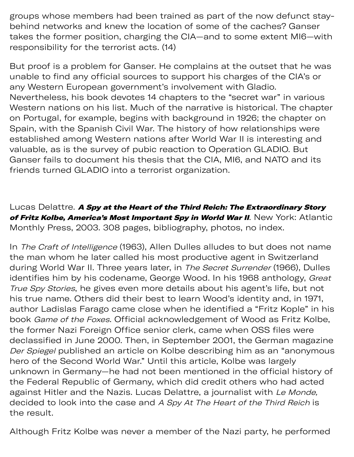groups whose members had been trained as part of the now defunct staybehind networks and knew the location of some of the caches? Ganser takes the former position, charging the CIA—and to some extent MI6—with responsibility for the terrorist acts. (14)

But proof is a problem for Ganser. He complains at the outset that he was unable to find any official sources to support his charges of the CIA's or any Western European government's involvement with Gladio. Nevertheless, his book devotes 14 chapters to the "secret war" in various Western nations on his list. Much of the narrative is historical. The chapter on Portugal, for example, begins with background in 1926; the chapter on Spain, with the Spanish Civil War. The history of how relationships were established among Western nations after World War II is interesting and valuable, as is the survey of pubic reaction to Operation GLADIO. But Ganser fails to document his thesis that the CIA, MI6, and NATO and its friends turned GLADIO into a terrorist organization.

Lucas Delattre. A Spy at the Heart of the Third Reich: The Extraordinary Story of Fritz Kolbe, America's Most Important Spy in World War II. New York: Atlantic Monthly Press, 2003. 308 pages, bibliography, photos, no index.

In The Craft of Intelligence (1963), Allen Dulles alludes to but does not name the man whom he later called his most productive agent in Switzerland during World War II. Three years later, in The Secret Surrender (1966), Dulles identifies him by his codename, George Wood. In his 1968 anthology, Great True Spy Stories, he gives even more details about his agent's life, but not his true name. Others did their best to learn Wood's identity and, in 1971, author Ladislas Farago came close when he identified a "Fritz Kople" in his book Game of the Foxes. Official acknowledgement of Wood as Fritz Kolbe, the former Nazi Foreign Office senior clerk, came when OSS files were declassified in June 2000. Then, in September 2001, the German magazine Der Spiegel published an article on Kolbe describing him as an "anonymous hero of the Second World War." Until this article, Kolbe was largely unknown in Germany—he had not been mentioned in the official history of the Federal Republic of Germany, which did credit others who had acted against Hitler and the Nazis. Lucas Delattre, a journalist with Le Monde, decided to look into the case and A Spy At The Heart of the Third Reich is the result.

Although Fritz Kolbe was never a member of the Nazi party, he performed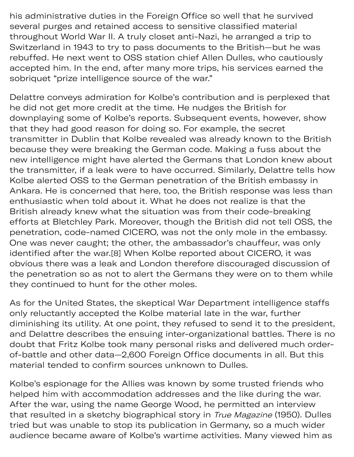his administrative duties in the Foreign Office so well that he survived several purges and retained access to sensitive classified material throughout World War II. A truly closet anti-Nazi, he arranged a trip to Switzerland in 1943 to try to pass documents to the British—but he was rebuffed. He next went to OSS station chief Allen Dulles, who cautiously accepted him. In the end, after many more trips, his services earned the sobriquet "prize intelligence source of the war."

Delattre conveys admiration for Kolbe's contribution and is perplexed that he did not get more credit at the time. He nudges the British for downplaying some of Kolbe's reports. Subsequent events, however, show that they had good reason for doing so. For example, the secret transmitter in Dublin that Kolbe revealed was already known to the British because they were breaking the German code. Making a fuss about the new intelligence might have alerted the Germans that London knew about the transmitter, if a leak were to have occurred. Similarly, Delattre tells how Kolbe alerted OSS to the German penetration of the British embassy in Ankara. He is concerned that here, too, the British response was less than enthusiastic when told about it. What he does not realize is that the British already knew what the situation was from their code-breaking efforts at Bletchley Park. Moreover, though the British did not tell OSS, the penetration, code-named CICERO, was not the only mole in the embassy. One was never caught; the other, the ambassador's chauffeur, was only identified after the war.[8] When Kolbe reported about CICERO, it was obvious there was a leak and London therefore discouraged discussion of the penetration so as not to alert the Germans they were on to them while they continued to hunt for the other moles.

As for the United States, the skeptical War Department intelligence staffs only reluctantly accepted the Kolbe material late in the war, further diminishing its utility. At one point, they refused to send it to the president, and Delattre describes the ensuing inter-organizational battles. There is no doubt that Fritz Kolbe took many personal risks and delivered much orderof-battle and other data—2,600 Foreign Office documents in all. But this material tended to confirm sources unknown to Dulles.

Kolbe's espionage for the Allies was known by some trusted friends who helped him with accommodation addresses and the like during the war. After the war, using the name George Wood, he permitted an interview that resulted in a sketchy biographical story in True Magazine (1950). Dulles tried but was unable to stop its publication in Germany, so a much wider audience became aware of Kolbe's wartime activities. Many viewed him as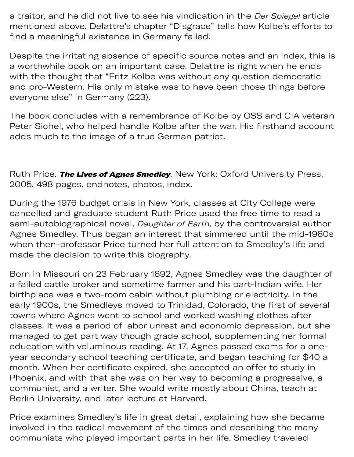a traitor, and he did not live to see his vindication in the *Der Spiegel* article mentioned above. Delattre's chapter "Disgrace" tells how Kolbe's efforts to find a meaningful existence in Germany failed.

Despite the irritating absence of specific source notes and an index, this is a worthwhile book on an important case. Delattre is right when he ends with the thought that "Fritz Kolbe was without any question democratic and pro-Western. His only mistake was to have been those things before everyone else" in Germany (223).

The book concludes with a remembrance of Kolbe by OSS and CIA veteran Peter Sichel, who helped handle Kolbe after the war. His firsthand account adds much to the image of a true German patriot.

Ruth Price. The Lives of Agnes Smedley. New York: Oxford University Press, 2005. 498 pages, endnotes, photos, index.

During the 1976 budget crisis in New York, classes at City College were cancelled and graduate student Ruth Price used the free time to read a semi-autobiographical novel, *Daughter of Earth*, by the controversial author Agnes Smedley. Thus began an interest that simmered until the mid-1980s when then-professor Price turned her full attention to Smedley's life and made the decision to write this biography.

Born in Missouri on 23 February 1892, Agnes Smedley was the daughter of a failed cattle broker and sometime farmer and his part-Indian wife. Her birthplace was a two-room cabin without plumbing or electricity. In the early 1900s, the Smedleys moved to Trinidad, Colorado, the first of several towns where Agnes went to school and worked washing clothes after classes. It was a period of labor unrest and economic depression, but she managed to get part way though grade school, supplementing her formal education with voluminous reading. At 17, Agnes passed exams for a oneyear secondary school teaching certificate, and began teaching for \$40 a month. When her certificate expired, she accepted an offer to study in Phoenix, and with that she was on her way to becoming a progressive, a communist, and a writer. She would write mostly about China, teach at Berlin University, and later lecture at Harvard.

Price examines Smedley's life in great detail, explaining how she became involved in the radical movement of the times and describing the many communists who played important parts in her life. Smedley traveled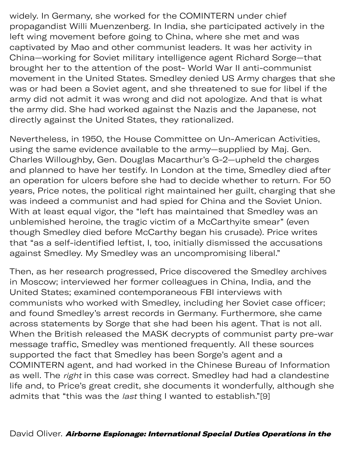widely. In Germany, she worked for the COMINTERN under chief propagandist Willi Muenzenberg. In India, she participated actively in the left wing movement before going to China, where she met and was captivated by Mao and other communist leaders. It was her activity in China—working for Soviet military intelligence agent Richard Sorge—that brought her to the attention of the post- World War II anti-communist movement in the United States. Smedley denied US Army charges that she was or had been a Soviet agent, and she threatened to sue for libel if the army did not admit it was wrong and did not apologize. And that is what the army did. She had worked against the Nazis and the Japanese, not directly against the United States, they rationalized.

Nevertheless, in 1950, the House Committee on Un-American Activities, using the same evidence available to the army—supplied by Maj. Gen. Charles Willoughby, Gen. Douglas Macarthur's G-2—upheld the charges and planned to have her testify. In London at the time, Smedley died after an operation for ulcers before she had to decide whether to return. For 50 years, Price notes, the political right maintained her guilt, charging that she was indeed a communist and had spied for China and the Soviet Union. With at least equal vigor, the "left has maintained that Smedley was an unblemished heroine, the tragic victim of a McCarthyite smear" (even though Smedley died before McCarthy began his crusade). Price writes that "as a self-identified leftist, I, too, initially dismissed the accusations against Smedley. My Smedley was an uncompromising liberal."

Then, as her research progressed, Price discovered the Smedley archives in Moscow; interviewed her former colleagues in China, India, and the United States; examined contemporaneous FBI interviews with communists who worked with Smedley, including her Soviet case officer; and found Smedley's arrest records in Germany. Furthermore, she came across statements by Sorge that she had been his agent. That is not all. When the British released the MASK decrypts of communist party pre-war message traffic, Smedley was mentioned frequently. All these sources supported the fact that Smedley has been Sorge's agent and a COMINTERN agent, and had worked in the Chinese Bureau of Information as well. The right in this case was correct. Smedley had had a clandestine life and, to Price's great credit, she documents it wonderfully, although she admits that "this was the *last* thing I wanted to establish."[9]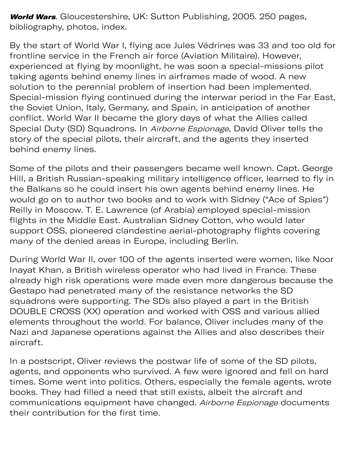World Wars. Gloucestershire, UK: Sutton Publishing, 2005. 250 pages, bibliography, photos, index.

David Oliver. Airborne Espionage: International Special Duties Operations in the

By the start of World War I, flying ace Jules Védrines was 33 and too old for frontline service in the French air force (Aviation Militaire). However, experienced at flying by moonlight, he was soon a special-missions pilot taking agents behind enemy lines in airframes made of wood. A new solution to the perennial problem of insertion had been implemented. Special-mission flying continued during the interwar period in the Far East, the Soviet Union, Italy, Germany, and Spain, in anticipation of another conflict. World War II became the glory days of what the Allies called Special Duty (SD) Squadrons. In Airborne Espionage, David Oliver tells the story of the special pilots, their aircraft, and the agents they inserted behind enemy lines.

Some of the pilots and their passengers became well known. Capt. George Hill, a British Russian-speaking military intelligence officer, learned to fly in the Balkans so he could insert his own agents behind enemy lines. He would go on to author two books and to work with Sidney ("Ace of Spies") Reilly in Moscow. T. E. Lawrence (of Arabia) employed special-mission flights in the Middle East. Australian Sidney Cotton, who would later support OSS, pioneered clandestine aerial-photography flights covering many of the denied areas in Europe, including Berlin.

During World War II, over 100 of the agents inserted were women, like Noor Inayat Khan, a British wireless operator who had lived in France. These already high risk operations were made even more dangerous because the Gestapo had penetrated many of the resistance networks the SD squadrons were supporting. The SDs also played a part in the British DOUBLE CROSS (XX) operation and worked with OSS and various allied elements throughout the world. For balance, Oliver includes many of the Nazi and Japanese operations against the Allies and also describes their aircraft.

In a postscript, Oliver reviews the postwar life of some of the SD pilots, agents, and opponents who survived. A few were ignored and fell on hard times. Some went into politics. Others, especially the female agents, wrote books. They had filled a need that still exists, albeit the aircraft and communications equipment have changed. Airborne Espionage documents their contribution for the first time.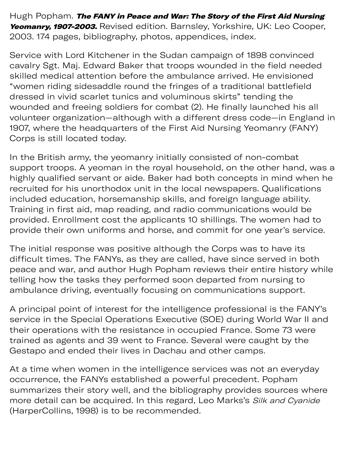Hugh Popham. The FANY in Peace and War: The Story of the First Aid Nursing Yeomanry, 1907-2003. Revised edition. Barnsley, Yorkshire, UK: Leo Cooper, 2003. 174 pages, bibliography, photos, appendices, index.

Service with Lord Kitchener in the Sudan campaign of 1898 convinced cavalry Sgt. Maj. Edward Baker that troops wounded in the field needed skilled medical attention before the ambulance arrived. He envisioned "women riding sidesaddle round the fringes of a traditional battlefield dressed in vivid scarlet tunics and voluminous skirts" tending the wounded and freeing soldiers for combat (2). He finally launched his all volunteer organization—although with a different dress code—in England in 1907, where the headquarters of the First Aid Nursing Yeomanry (FANY) Corps is still located today.

In the British army, the yeomanry initially consisted of non-combat support troops. A yeoman in the royal household, on the other hand, was a highly qualified servant or aide. Baker had both concepts in mind when he recruited for his unorthodox unit in the local newspapers. Qualifications included education, horsemanship skills, and foreign language ability. Training in first aid, map reading, and radio communications would be provided. Enrollment cost the applicants 10 shillings. The women had to provide their own uniforms and horse, and commit for one year's service.

The initial response was positive although the Corps was to have its difficult times. The FANYs, as they are called, have since served in both peace and war, and author Hugh Popham reviews their entire history while telling how the tasks they performed soon departed from nursing to ambulance driving, eventually focusing on communications support.

A principal point of interest for the intelligence professional is the FANY's service in the Special Operations Executive (SOE) during World War II and their operations with the resistance in occupied France. Some 73 were trained as agents and 39 went to France. Several were caught by the Gestapo and ended their lives in Dachau and other camps.

At a time when women in the intelligence services was not an everyday occurrence, the FANYs established a powerful precedent. Popham summarizes their story well, and the bibliography provides sources where more detail can be acquired. In this regard, Leo Marks's Silk and Cyanide (HarperCollins, 1998) is to be recommended.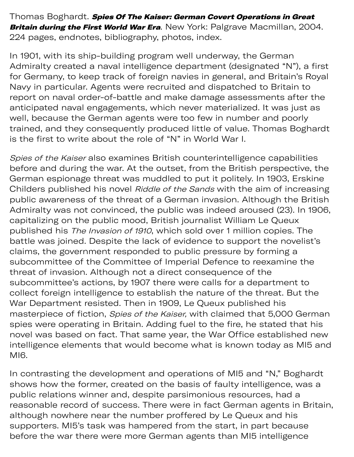Thomas Boghardt. Spies Of The Kaiser: German Covert Operations in Great Britain during the First World War Era. New York: Palgrave Macmillan, 2004. 224 pages, endnotes, bibliography, photos, index.

In 1901, with its ship-building program well underway, the German Admiralty created a naval intelligence department (designated "N"), a first for Germany, to keep track of foreign navies in general, and Britain's Royal Navy in particular. Agents were recruited and dispatched to Britain to report on naval order-of-battle and make damage assessments after the anticipated naval engagements, which never materialized. It was just as well, because the German agents were too few in number and poorly trained, and they consequently produced little of value. Thomas Boghardt is the first to write about the role of "N" in World War I.

Spies of the Kaiser also examines British counterintelligence capabilities before and during the war. At the outset, from the British perspective, the German espionage threat was muddled to put it politely. In 1903, Erskine Childers published his novel Riddle of the Sands with the aim of increasing public awareness of the threat of a German invasion. Although the British Admiralty was not convinced, the public was indeed aroused (23). In 1906, capitalizing on the public mood, British journalist William Le Queux published his The Invasion of 1910, which sold over 1 million copies. The battle was joined. Despite the lack of evidence to support the novelist's claims, the government responded to public pressure by forming a subcommittee of the Committee of Imperial Defence to reexamine the threat of invasion. Although not a direct consequence of the subcommittee's actions, by 1907 there were calls for a department to collect foreign intelligence to establish the nature of the threat. But the War Department resisted. Then in 1909, Le Queux published his masterpiece of fiction, Spies of the Kaiser, with claimed that 5,000 German spies were operating in Britain. Adding fuel to the fire, he stated that his novel was based on fact. That same year, the War Office established new intelligence elements that would become what is known today as MI5 and MI6.

In contrasting the development and operations of MI5 and "N," Boghardt shows how the former, created on the basis of faulty intelligence, was a public relations winner and, despite parsimonious resources, had a reasonable record of success. There were in fact German agents in Britain, although nowhere near the number proffered by Le Queux and his supporters. MI5's task was hampered from the start, in part because before the war there were more German agents than MI5 intelligence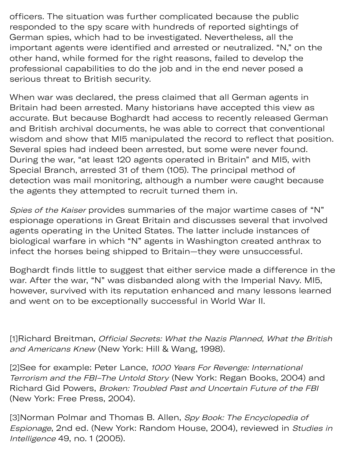officers. The situation was further complicated because the public responded to the spy scare with hundreds of reported sightings of German spies, which had to be investigated. Nevertheless, all the important agents were identified and arrested or neutralized. "N," on the other hand, while formed for the right reasons, failed to develop the professional capabilities to do the job and in the end never posed a serious threat to British security.

before the war there were more German agents than MI5 intelligence

When war was declared, the press claimed that all German agents in Britain had been arrested. Many historians have accepted this view as accurate. But because Boghardt had access to recently released German and British archival documents, he was able to correct that conventional wisdom and show that MI5 manipulated the record to reflect that position. Several spies had indeed been arrested, but some were never found. During the war, "at least 120 agents operated in Britain" and MI5, with Special Branch, arrested 31 of them (105). The principal method of detection was mail monitoring, although a number were caught because the agents they attempted to recruit turned them in.

Spies of the Kaiser provides summaries of the major wartime cases of "N" espionage operations in Great Britain and discusses several that involved agents operating in the United States. The latter include instances of biological warfare in which "N" agents in Washington created anthrax to infect the horses being shipped to Britain—they were unsuccessful.

Boghardt finds little to suggest that either service made a difference in the war. After the war, "N" was disbanded along with the Imperial Navy. MI5, however, survived with its reputation enhanced and many lessons learned and went on to be exceptionally successful in World War II.

[1]Richard Breitman, Official Secrets: What the Nazis Planned, What the British and Americans Knew (New York: Hill & Wang, 1998).

[2]See for example: Peter Lance, 1000 Years For Revenge: International Terrorism and the FBI–The Untold Story (New York: Regan Books, 2004) and Richard Gid Powers, Broken: Troubled Past and Uncertain Future of the FBI (New York: Free Press, 2004).

[3]Norman Polmar and Thomas B. Allen, Spy Book: The Encyclopedia of Espionage, 2nd ed. (New York: Random House, 2004), reviewed in Studies in Intelligence 49, no. 1 (2005).